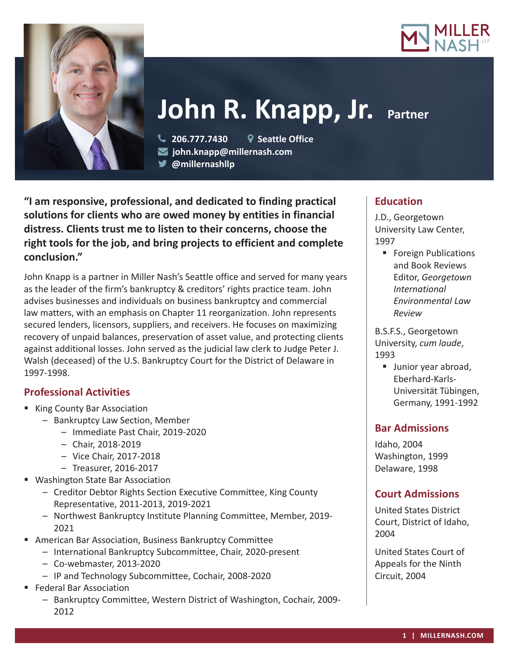



# **John R. Knapp, Jr. Partner**

 **206.777.7430 Seattle Office john.knapp@millernash.com** 

**@millernashllp** 

**"I am responsive, professional, and dedicated to finding practical solutions for clients who are owed money by entities in financial distress. Clients trust me to listen to their concerns, choose the right tools for the job, and bring projects to efficient and complete conclusion."**

John Knapp is a partner in Miller Nash's Seattle office and served for many years as the leader of the firm's bankruptcy & creditors' rights practice team. John advises businesses and individuals on business bankruptcy and commercial law matters, with an emphasis on Chapter 11 reorganization. John represents secured lenders, licensors, suppliers, and receivers. He focuses on maximizing recovery of unpaid balances, preservation of asset value, and protecting clients against additional losses. John served as the judicial law clerk to Judge Peter J. Walsh (deceased) of the U.S. Bankruptcy Court for the District of Delaware in 1997-1998.

# **Professional Activities**

- King County Bar Association
	- Bankruptcy Law Section, Member
		- Immediate Past Chair, 2019-2020
		- Chair, 2018-2019
		- Vice Chair, 2017-2018
		- Treasurer, 2016-2017
- Washington State Bar Association
	- Creditor Debtor Rights Section Executive Committee, King County Representative, 2011-2013, 2019-2021
	- Northwest Bankruptcy Institute Planning Committee, Member, 2019- 2021
- American Bar Association, Business Bankruptcy Committee
	- International Bankruptcy Subcommittee, Chair, 2020-present
	- Co-webmaster, 2013-2020
	- IP and Technology Subcommittee, Cochair, 2008-2020
- Federal Bar Association
	- Bankruptcy Committee, Western District of Washington, Cochair, 2009- 2012

# **Education**

J.D., Georgetown University Law Center, 1997

■ Foreign Publications and Book Reviews Editor, *Georgetown International Environmental Law Review*

B.S.F.S., Georgetown University, *cum laude*, 1993

**Junior year abroad,** Eberhard-Karls-Universität Tübingen, Germany, 1991-1992

# **Bar Admissions**

Idaho, 2004 Washington, 1999 Delaware, 1998

# **Court Admissions**

United States District Court, District of Idaho, 2004

United States Court of Appeals for the Ninth Circuit, 2004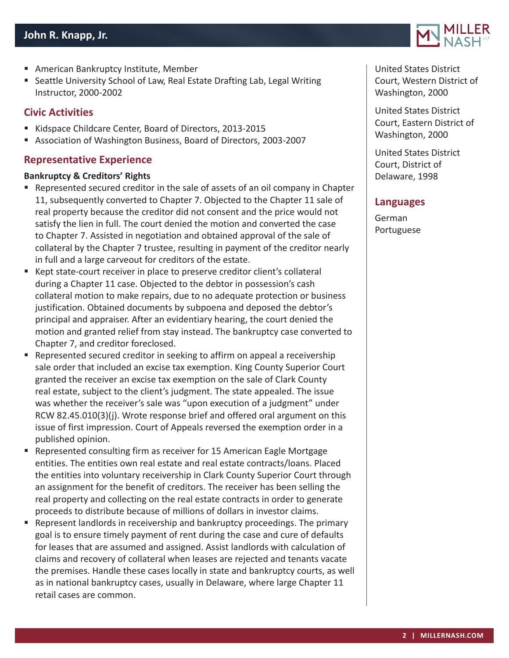- American Bankruptcy Institute, Member
- Seattle University School of Law, Real Estate Drafting Lab, Legal Writing Instructor, 2000-2002

## **Civic Activities**

- Kidspace Childcare Center, Board of Directors, 2013-2015
- Association of Washington Business, Board of Directors, 2003-2007

## **Representative Experience**

#### **Bankruptcy & Creditors' Rights**

- Represented secured creditor in the sale of assets of an oil company in Chapter 11, subsequently converted to Chapter 7. Objected to the Chapter 11 sale of real property because the creditor did not consent and the price would not satisfy the lien in full. The court denied the motion and converted the case to Chapter 7. Assisted in negotiation and obtained approval of the sale of collateral by the Chapter 7 trustee, resulting in payment of the creditor nearly in full and a large carveout for creditors of the estate.
- Kept state-court receiver in place to preserve creditor client's collateral during a Chapter 11 case. Objected to the debtor in possession's cash collateral motion to make repairs, due to no adequate protection or business justification. Obtained documents by subpoena and deposed the debtor's principal and appraiser. After an evidentiary hearing, the court denied the motion and granted relief from stay instead. The bankruptcy case converted to Chapter 7, and creditor foreclosed.
- Represented secured creditor in seeking to affirm on appeal a receivership sale order that included an excise tax exemption. King County Superior Court granted the receiver an excise tax exemption on the sale of Clark County real estate, subject to the client's judgment. The state appealed. The issue was whether the receiver's sale was "upon execution of a judgment" under RCW 82.45.010(3)(j). Wrote response brief and offered oral argument on this issue of first impression. Court of Appeals reversed the exemption order in a published opinion.
- Represented consulting firm as receiver for 15 American Eagle Mortgage entities. The entities own real estate and real estate contracts/loans. Placed the entities into voluntary receivership in Clark County Superior Court through an assignment for the benefit of creditors. The receiver has been selling the real property and collecting on the real estate contracts in order to generate proceeds to distribute because of millions of dollars in investor claims.
- Represent landlords in receivership and bankruptcy proceedings. The primary goal is to ensure timely payment of rent during the case and cure of defaults for leases that are assumed and assigned. Assist landlords with calculation of claims and recovery of collateral when leases are rejected and tenants vacate the premises. Handle these cases locally in state and bankruptcy courts, as well as in national bankruptcy cases, usually in Delaware, where large Chapter 11 retail cases are common.



United States District Court, Western District of Washington, 2000

United States District Court, Eastern District of Washington, 2000

United States District Court, District of Delaware, 1998

## **Languages**

German Portuguese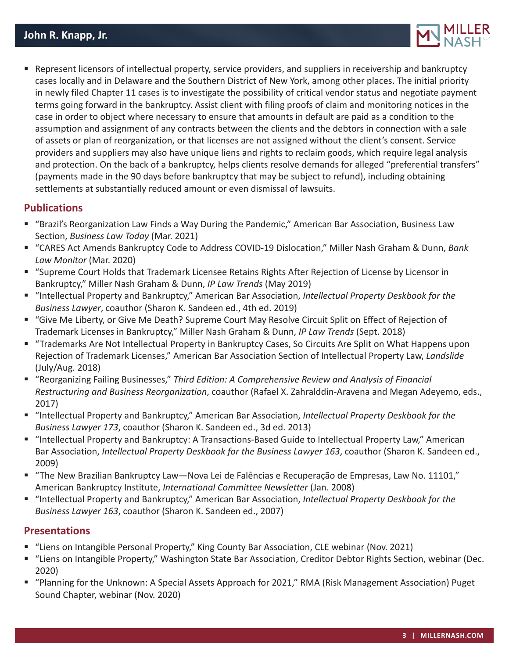

 Represent licensors of intellectual property, service providers, and suppliers in receivership and bankruptcy cases locally and in Delaware and the Southern District of New York, among other places. The initial priority in newly filed Chapter 11 cases is to investigate the possibility of critical vendor status and negotiate payment terms going forward in the bankruptcy. Assist client with filing proofs of claim and monitoring notices in the case in order to object where necessary to ensure that amounts in default are paid as a condition to the assumption and assignment of any contracts between the clients and the debtors in connection with a sale of assets or plan of reorganization, or that licenses are not assigned without the client's consent. Service providers and suppliers may also have unique liens and rights to reclaim goods, which require legal analysis and protection. On the back of a bankruptcy, helps clients resolve demands for alleged "preferential transfers" (payments made in the 90 days before bankruptcy that may be subject to refund), including obtaining settlements at substantially reduced amount or even dismissal of lawsuits.

#### **Publications**

- "Brazil's Reorganization Law Finds a Way During the Pandemic," American Bar Association, Business Law Section, *Business Law Today* (Mar. 2021)
- "CARES Act Amends Bankruptcy Code to Address COVID-19 Dislocation," Miller Nash Graham & Dunn, *Bank Law Monitor* (Mar. 2020)
- "Supreme Court Holds that Trademark Licensee Retains Rights After Rejection of License by Licensor in Bankruptcy," Miller Nash Graham & Dunn, *IP Law Trends* (May 2019)
- "Intellectual Property and Bankruptcy," American Bar Association, *Intellectual Property Deskbook for the Business Lawyer*, coauthor (Sharon K. Sandeen ed., 4th ed. 2019)
- "Give Me Liberty, or Give Me Death? Supreme Court May Resolve Circuit Split on Effect of Rejection of Trademark Licenses in Bankruptcy," Miller Nash Graham & Dunn, *IP Law Trends* (Sept. 2018)
- "Trademarks Are Not Intellectual Property in Bankruptcy Cases, So Circuits Are Split on What Happens upon Rejection of Trademark Licenses," American Bar Association Section of Intellectual Property Law, *Landslide*  (July/Aug. 2018)
- "Reorganizing Failing Businesses," Third Edition: A Comprehensive Review and Analysis of Financial *Restructuring and Business Reorganization*, coauthor (Rafael X. Zahralddin-Aravena and Megan Adeyemo, eds., 2017)
- "Intellectual Property and Bankruptcy," American Bar Association, *Intellectual Property Deskbook for the Business Lawyer 173*, coauthor (Sharon K. Sandeen ed., 3d ed. 2013)
- "Intellectual Property and Bankruptcy: A Transactions-Based Guide to Intellectual Property Law," American Bar Association, *Intellectual Property Deskbook for the Business Lawyer 163*, coauthor (Sharon K. Sandeen ed., 2009)
- "The New Brazilian Bankruptcy Law—Nova Lei de Falências e Recuperação de Empresas, Law No. 11101," American Bankruptcy Institute, *International Committee Newsletter* (Jan. 2008)
- "Intellectual Property and Bankruptcy," American Bar Association, *Intellectual Property Deskbook for the Business Lawyer 163*, coauthor (Sharon K. Sandeen ed., 2007)

## **Presentations**

- "Liens on Intangible Personal Property," King County Bar Association, CLE webinar (Nov. 2021)
- "Liens on Intangible Property," Washington State Bar Association, Creditor Debtor Rights Section, webinar (Dec. 2020)
- "Planning for the Unknown: A Special Assets Approach for 2021," RMA (Risk Management Association) Puget Sound Chapter, webinar (Nov. 2020)